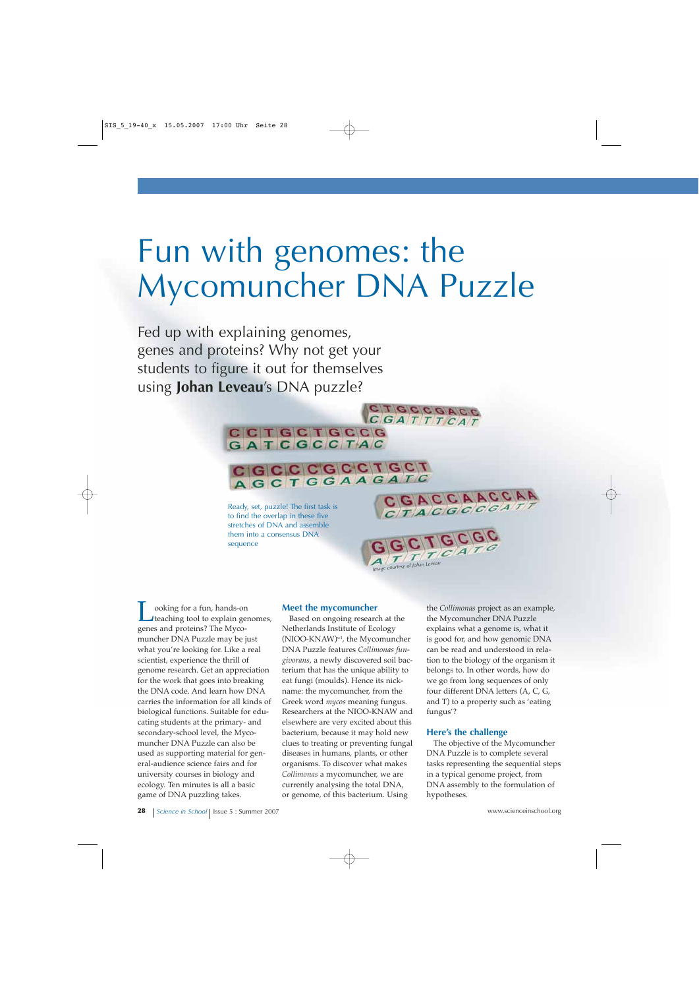# Fun with genomes: the Mycomuncher DNA Puzzle

Fed up with explaining genomes, genes and proteins? Why not get your students to figure it out for themselves using **Johan Leveau**'s DNA puzzle?

> Ready, set, puzzle! The first task is to find the overlap in these five stretches of DNA and assemble them into a consensus DNA sequence

**CCTGCTGCCG** GATCGCCTAC

Looking for a fun, hands-on<br>teaching tool to explain genomes, genes and proteins? The Mycomuncher DNA Puzzle may be just what you're looking for. Like a real scientist, experience the thrill of genome research. Get an appreciation for the work that goes into breaking the DNA code. And learn how DNA carries the information for all kinds of biological functions. Suitable for educating students at the primary- and secondary-school level, the Mycomuncher DNA Puzzle can also be used as supporting material for general-audience science fairs and for university courses in biology and ecology. Ten minutes is all a basic game of DNA puzzling takes.

## **Meet the mycomuncher**

CGCCCCCTCCT AGCTGGAAGATC

> Based on ongoing research at the Netherlands Institute of Ecology (NIOO-KNAW)w1, the Mycomuncher DNA Puzzle features *Collimonas fungivorans*, a newly discovered soil bacterium that has the unique ability to eat fungi (moulds). Hence its nickname: the mycomuncher, from the Greek word *mycos* meaning fungus. Researchers at the NIOO-KNAW and elsewhere are very excited about this bacterium, because it may hold new clues to treating or preventing fungal diseases in humans, plants, or other organisms. To discover what makes *Collimonas* a mycomuncher, we are currently analysing the total DNA, or genome, of this bacterium. Using

the *Collimonas* project as an example, the Mycomuncher DNA Puzzle explains what a genome is, what it is good for, and how genomic DNA can be read and understood in relation to the biology of the organism it belongs to. In other words, how do we go from long sequences of only four different DNA letters (A, C, G, and T) to a property such as 'eating fungus'?

### **Here's the challenge**

**GGCTGCATG** 

CGACCAACCAA CTACGCCGATI

CGATTTCAT

The objective of the Mycomuncher DNA Puzzle is to complete several tasks representing the sequential steps in a typical genome project, from DNA assembly to the formulation of hypotheses.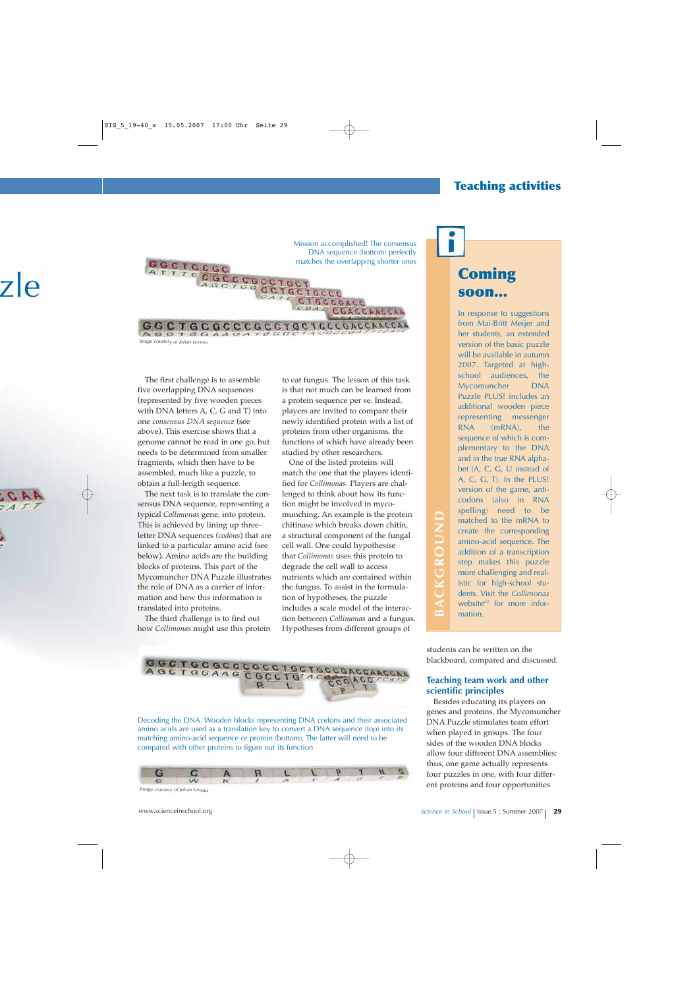# **Teaching activities**



The first challenge is to assemble five overlapping DNA sequences (represented by five wooden pieces with DNA letters A, C, G and T) into one *consensus DNA sequence* (see above). This exercise shows that a genome cannot be read in one go, but needs to be determined from smaller fragments, which then have to be assembled, much like a puzzle, to obtain a full-length sequence.

The next task is to translate the consensus DNA sequence, representing a typical *Collimonas* gene, into protein. This is achieved by lining up threeletter DNA sequences (*codons*) that are linked to a particular amino acid (see below). Amino acids are the building blocks of proteins. This part of the Mycomuncher DNA Puzzle illustrates the role of DNA as a carrier of information and how this information is translated into proteins.

The third challenge is to find out how *Collimonas* might use this protein to eat fungus. The lesson of this task is that not much can be learned from a protein sequence per se. Instead, players are invited to compare their newly identified protein with a list of proteins from other organisms, the functions of which have already been studied by other researchers.

One of the listed proteins will match the one that the players identified for *Collimonas*. Players are challenged to think about how its function might be involved in mycomunching. An example is the protein chitinase which breaks down chitin, a structural component of the fungal cell wall. One could hypothesise that *Collimonas* uses this protein to degrade the cell wall to access nutrients which are contained within the fungus. To assist in the formulation of hypotheses, the puzzle includes a scale model of the interaction between *Collimonas* and a fungus. Hypotheses from different groups of



Decoding the DNA. Wooden blocks representing DNA codons and their associated amino acids are used as a translation key to convert a DNA sequence (top) into its matching amino-acid sequence or protein (bottom). The latter will need to be compared with other proteins to figure out its function



# **soon...**

In response to suggestions from Mai-Britt Meijer and her students, an extended version of the basic puzzle will be available in autumn 2007. Targeted at highschool audiences, the Mycomuncher DNA Puzzle PLUS! includes an additional wooden piece representing messenger RNA (mRNA), the sequence of which is complementary to the DNA and in the true RNA alphabet (A, C, G, U instead of A, C, G, T). In the PLUS! version of the game, anticodons (also in RNA spelling) need to be matched to the mRNA to create the corresponding amino-acid sequence. The addition of a transcription step makes this puzzle more challenging and realistic for high-school students. Visit the *Collimonas* website $w^2$  for more information.

students can be written on the blackboard, compared and discussed.

# **Teaching team work and other scientific principles**

Besides educating its players on genes and proteins, the Mycomuncher DNA Puzzle stimulates team effort when played in groups. The four sides of the wooden DNA blocks allow four different DNA assemblies: thus, one game actually represents four puzzles in one, with four differ-From the mRNA to<br>
and the mRNA to<br>
create the corresponding<br>
annino-acid sequence. The<br>
addition of a transcription<br>
step makes this puzzle<br>
more challenging and real-<br>
istic for high-school stu-<br>
dents. Visit the Collimon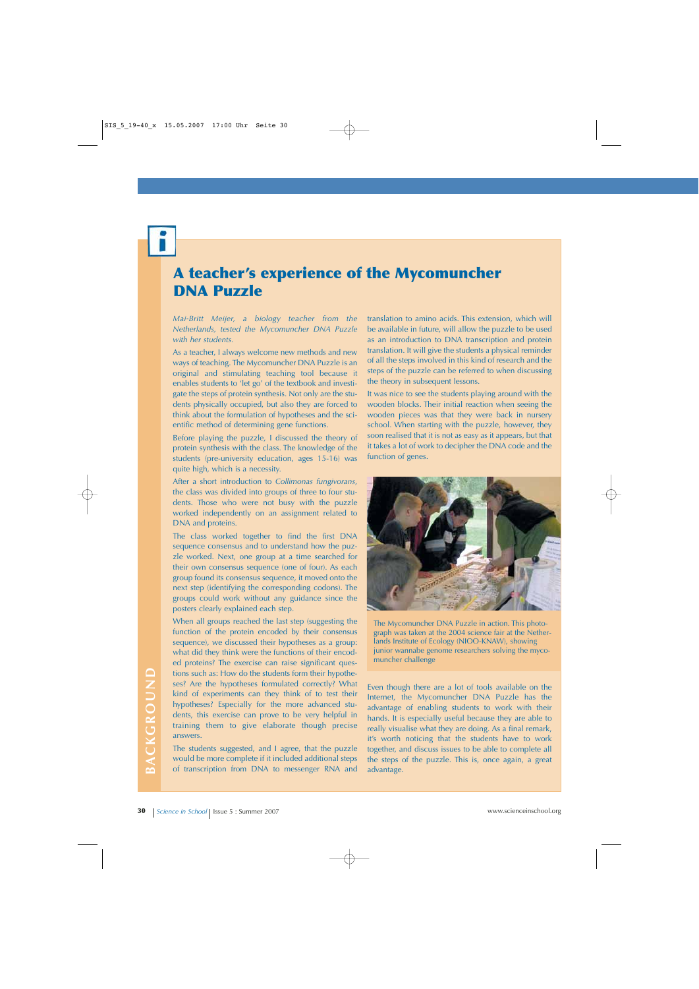# **A teacher's experience of the Mycomuncher DNA Puzzle**

*Mai-Britt Meijer, a biology teacher from the Netherlands, tested the Mycomuncher DNA Puzzle with her students.*

As a teacher, I always welcome new methods and new ways of teaching. The Mycomuncher DNA Puzzle is an original and stimulating teaching tool because it enables students to 'let go' of the textbook and investigate the steps of protein synthesis. Not only are the students physically occupied, but also they are forced to think about the formulation of hypotheses and the scientific method of determining gene functions.

Before playing the puzzle, I discussed the theory of protein synthesis with the class. The knowledge of the students (pre-university education, ages 15-16) was quite high, which is a necessity.

After a short introduction to *Collimonas fungivorans*, the class was divided into groups of three to four students. Those who were not busy with the puzzle worked independently on an assignment related to DNA and proteins.

The class worked together to find the first DNA sequence consensus and to understand how the puzzle worked. Next, one group at a time searched for their own consensus sequence (one of four). As each group found its consensus sequence, it moved onto the next step (identifying the corresponding codons). The groups could work without any guidance since the posters clearly explained each step.

When all groups reached the last step (suggesting the function of the protein encoded by their consensus sequence), we discussed their hypotheses as a group: what did they think were the functions of their encoded proteins? The exercise can raise significant questions such as: How do the students form their hypotheses? Are the hypotheses formulated correctly? What kind of experiments can they think of to test their hypotheses? Especially for the more advanced students, this exercise can prove to be very helpful in training them to give elaborate though precise answers.

The students suggested, and I agree, that the puzzle would be more complete if it included additional steps of transcription from DNA to messenger RNA and

translation to amino acids. This extension, which will be available in future, will allow the puzzle to be used as an introduction to DNA transcription and protein translation. It will give the students a physical reminder of all the steps involved in this kind of research and the steps of the puzzle can be referred to when discussing the theory in subsequent lessons.

It was nice to see the students playing around with the wooden blocks. Their initial reaction when seeing the wooden pieces was that they were back in nursery school. When starting with the puzzle, however, they soon realised that it is not as easy as it appears, but that it takes a lot of work to decipher the DNA code and the function of genes.



The Mycomuncher DNA Puzzle in action. This photograph was taken at the 2004 science fair at the Netherlands Institute of Ecology (NIOO-KNAW), showing junior wannabe genome researchers solving the mycomuncher challenge

**30 Science in School | Issue 5 : Summer 2007**<br> **30 Science in School | Issue 5 : Summer 2007**<br> **30 Science in School | Issue 5 : Summer 2007**<br> **30 Science in School | Issue 5 : Summer 2007**<br> **30 Externed Issue** Even though there are a lot of tools available on the Internet, the Mycomuncher DNA Puzzle has the advantage of enabling students to work with their hands. It is especially useful because they are able to really visualise what they are doing. As a final remark, it's worth noticing that the students have to work together, and discuss issues to be able to complete all the steps of the puzzle. This is, once again, a great advantage.